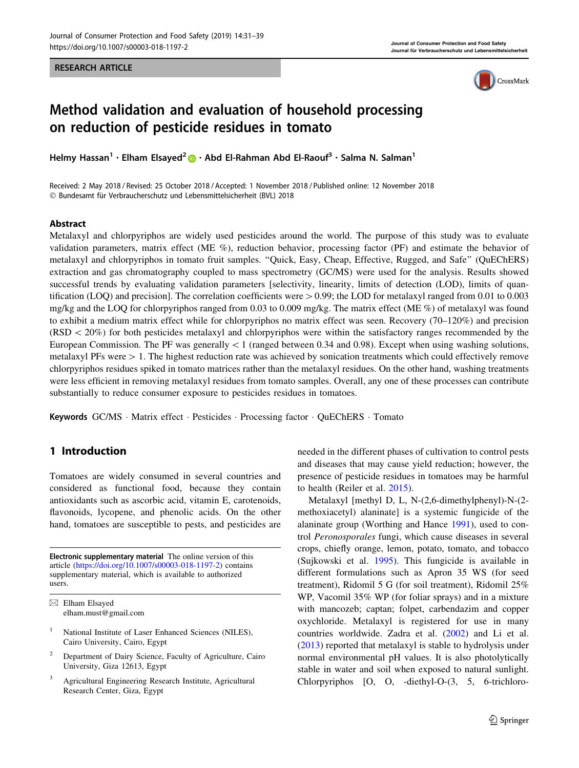RESEARCH ARTICLE



# Method validation and evaluation of household processing on reduction of pesticide residues in tomato

Helmy Hassan<sup>1</sup> · Elham Elsayed<sup>2</sup> • Abd El-Rahman Abd El-Raouf<sup>3</sup> · Salma N. Salman<sup>1</sup>

Received: 2 May 2018 / Revised: 25 October 2018 / Accepted: 1 November 2018 / Published online: 12 November 2018 © Bundesamt für Verbraucherschutz und Lebensmittelsicherheit (BVL) 2018

## Abstract

Metalaxyl and chlorpyriphos are widely used pesticides around the world. The purpose of this study was to evaluate validation parameters, matrix effect (ME %), reduction behavior, processing factor (PF) and estimate the behavior of metalaxyl and chlorpyriphos in tomato fruit samples. ''Quick, Easy, Cheap, Effective, Rugged, and Safe'' (QuEChERS) extraction and gas chromatography coupled to mass spectrometry (GC/MS) were used for the analysis. Results showed successful trends by evaluating validation parameters [selectivity, linearity, limits of detection (LOD), limits of quantification (LOQ) and precision]. The correlation coefficients were  $> 0.99$ ; the LOD for metalaxyl ranged from 0.01 to 0.003 mg/kg and the LOQ for chlorpyriphos ranged from 0.03 to 0.009 mg/kg. The matrix effect (ME %) of metalaxyl was found to exhibit a medium matrix effect while for chlorpyriphos no matrix effect was seen. Recovery (70–120%) and precision  $(RSD < 20%)$  for both pesticides metalaxyl and chlorpyriphos were within the satisfactory ranges recommended by the European Commission. The PF was generally  $\lt 1$  (ranged between 0.34 and 0.98). Except when using washing solutions, metalaxyl PFs were  $> 1$ . The highest reduction rate was achieved by sonication treatments which could effectively remove chlorpyriphos residues spiked in tomato matrices rather than the metalaxyl residues. On the other hand, washing treatments were less efficient in removing metalaxyl residues from tomato samples. Overall, any one of these processes can contribute substantially to reduce consumer exposure to pesticides residues in tomatoes.

Keywords GC/MS · Matrix effect · Pesticides · Processing factor · QuEChERS · Tomato

# 1 Introduction

Tomatoes are widely consumed in several countries and considered as functional food, because they contain antioxidants such as ascorbic acid, vitamin E, carotenoids, flavonoids, lycopene, and phenolic acids. On the other hand, tomatoes are susceptible to pests, and pesticides are

Electronic supplementary material The online version of this article [\(https://doi.org/10.1007/s00003-018-1197-2](https://doi.org/10.1007/s00003-018-1197-2)) contains supplementary material, which is available to authorized users.

- <sup>1</sup> National Institute of Laser Enhanced Sciences (NILES), Cairo University, Cairo, Egypt
- <sup>2</sup> Department of Dairy Science, Faculty of Agriculture, Cairo University, Giza 12613, Egypt
- <sup>3</sup> Agricultural Engineering Research Institute, Agricultural Research Center, Giza, Egypt

needed in the different phases of cultivation to control pests and diseases that may cause yield reduction; however, the presence of pesticide residues in tomatoes may be harmful to health (Reiler et al. [2015\)](#page-7-0).

Metalaxyl [methyl D, L, N-(2,6-dimethylphenyl)-N-(2 methoxiacetyl) alaninate] is a systemic fungicide of the alaninate group (Worthing and Hance [1991](#page-8-0)), used to control Peronosporales fungi, which cause diseases in several crops, chiefly orange, lemon, potato, tomato, and tobacco (Sujkowski et al. [1995\)](#page-8-0). This fungicide is available in different formulations such as Apron 35 WS (for seed treatment), Ridomil 5 G (for soil treatment), Ridomil 25% WP, Vacomil 35% WP (for foliar sprays) and in a mixture with mancozeb; captan; folpet, carbendazim and copper oxychloride. Metalaxyl is registered for use in many countries worldwide. Zadra et al. ([2002\)](#page-8-0) and Li et al. [\(2013](#page-7-0)) reported that metalaxyl is stable to hydrolysis under normal environmental pH values. It is also photolytically stable in water and soil when exposed to natural sunlight. Chlorpyriphos [O, O, -diethyl-O-(3, 5, 6-trichloro-

 $\boxtimes$  Elham Elsayed elham.must@gmail.com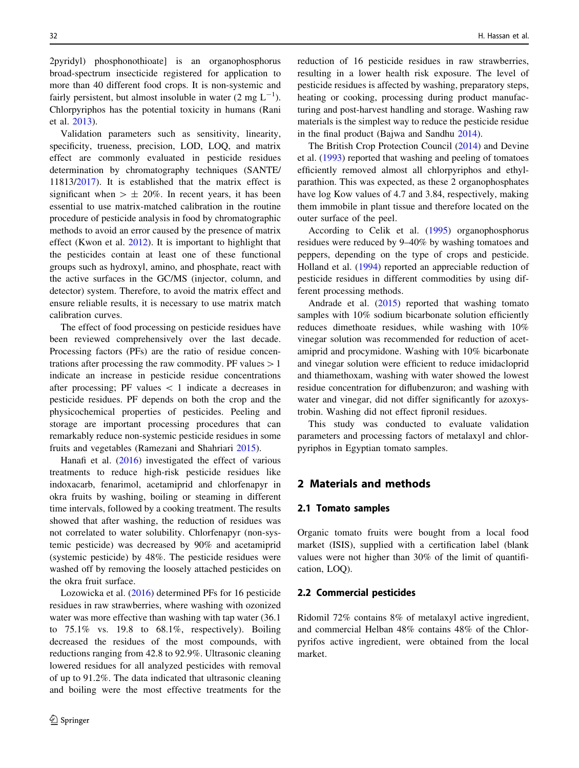2pyridyl) phosphonothioate] is an organophosphorus broad-spectrum insecticide registered for application to more than 40 different food crops. It is non-systemic and fairly persistent, but almost insoluble in water  $(2 \text{ mg } L^{-1})$ . Chlorpyriphos has the potential toxicity in humans (Rani et al. [2013\)](#page-7-0).

Validation parameters such as sensitivity, linearity, specificity, trueness, precision, LOD, LOQ, and matrix effect are commonly evaluated in pesticide residues determination by chromatography techniques (SANTE/ 11813/[2017\)](#page-7-0). It is established that the matrix effect is significant when  $> \pm 20\%$ . In recent years, it has been essential to use matrix-matched calibration in the routine procedure of pesticide analysis in food by chromatographic methods to avoid an error caused by the presence of matrix effect (Kwon et al. [2012](#page-7-0)). It is important to highlight that the pesticides contain at least one of these functional groups such as hydroxyl, amino, and phosphate, react with the active surfaces in the GC/MS (injector, column, and detector) system. Therefore, to avoid the matrix effect and ensure reliable results, it is necessary to use matrix match calibration curves.

The effect of food processing on pesticide residues have been reviewed comprehensively over the last decade. Processing factors (PFs) are the ratio of residue concentrations after processing the raw commodity. PF values  $>1$ indicate an increase in pesticide residue concentrations after processing; PF values  $\lt 1$  indicate a decreases in pesticide residues. PF depends on both the crop and the physicochemical properties of pesticides. Peeling and storage are important processing procedures that can remarkably reduce non-systemic pesticide residues in some fruits and vegetables (Ramezani and Shahriari [2015](#page-7-0)).

Hanafi et al. ([2016\)](#page-7-0) investigated the effect of various treatments to reduce high-risk pesticide residues like indoxacarb, fenarimol, acetamiprid and chlorfenapyr in okra fruits by washing, boiling or steaming in different time intervals, followed by a cooking treatment. The results showed that after washing, the reduction of residues was not correlated to water solubility. Chlorfenapyr (non-systemic pesticide) was decreased by 90% and acetamiprid (systemic pesticide) by 48%. The pesticide residues were washed off by removing the loosely attached pesticides on the okra fruit surface.

Lozowicka et al. [\(2016](#page-7-0)) determined PFs for 16 pesticide residues in raw strawberries, where washing with ozonized water was more effective than washing with tap water (36.1 to  $75.1\%$  vs. 19.8 to  $68.1\%$ , respectively). Boiling decreased the residues of the most compounds, with reductions ranging from 42.8 to 92.9%. Ultrasonic cleaning lowered residues for all analyzed pesticides with removal of up to 91.2%. The data indicated that ultrasonic cleaning and boiling were the most effective treatments for the reduction of 16 pesticide residues in raw strawberries, resulting in a lower health risk exposure. The level of pesticide residues is affected by washing, preparatory steps, heating or cooking, processing during product manufacturing and post-harvest handling and storage. Washing raw materials is the simplest way to reduce the pesticide residue in the final product (Bajwa and Sandhu [2014](#page-7-0)).

The British Crop Protection Council ([2014\)](#page-7-0) and Devine et al. ([1993\)](#page-7-0) reported that washing and peeling of tomatoes efficiently removed almost all chlorpyriphos and ethylparathion. This was expected, as these 2 organophosphates have log Kow values of 4.7 and 3.84, respectively, making them immobile in plant tissue and therefore located on the outer surface of the peel.

According to Celik et al. ([1995\)](#page-7-0) organophosphorus residues were reduced by 9–40% by washing tomatoes and peppers, depending on the type of crops and pesticide. Holland et al. ([1994\)](#page-7-0) reported an appreciable reduction of pesticide residues in different commodities by using different processing methods.

Andrade et al.  $(2015)$  reported that washing tomato samples with 10% sodium bicarbonate solution efficiently reduces dimethoate residues, while washing with 10% vinegar solution was recommended for reduction of acetamiprid and procymidone. Washing with 10% bicarbonate and vinegar solution were efficient to reduce imidacloprid and thiamethoxam, washing with water showed the lowest residue concentration for diflubenzuron; and washing with water and vinegar, did not differ significantly for azoxystrobin. Washing did not effect fipronil residues.

This study was conducted to evaluate validation parameters and processing factors of metalaxyl and chlorpyriphos in Egyptian tomato samples.

# 2 Materials and methods

## 2.1 Tomato samples

Organic tomato fruits were bought from a local food market (ISIS), supplied with a certification label (blank values were not higher than 30% of the limit of quantification, LOQ).

#### 2.2 Commercial pesticides

Ridomil 72% contains 8% of metalaxyl active ingredient, and commercial Helban 48% contains 48% of the Chlorpyrifos active ingredient, were obtained from the local market.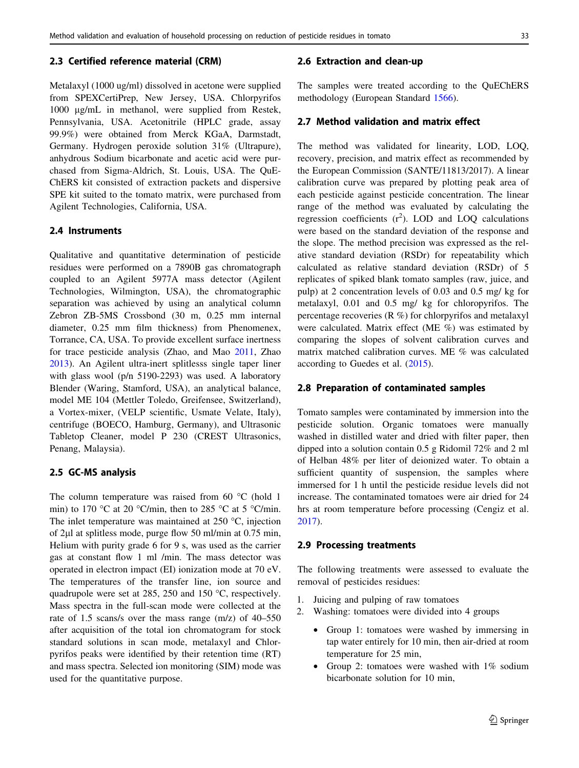## 2.3 Certified reference material (CRM)

Metalaxyl (1000 ug/ml) dissolved in acetone were supplied from SPEXCertiPrep, New Jersey, USA. Chlorpyrifos 1000 lg/mL in methanol, were supplied from Restek, Pennsylvania, USA. Acetonitrile (HPLC grade, assay 99.9%) were obtained from Merck KGaA, Darmstadt, Germany. Hydrogen peroxide solution 31% (Ultrapure), anhydrous Sodium bicarbonate and acetic acid were purchased from Sigma-Aldrich, St. Louis, USA. The QuE-ChERS kit consisted of extraction packets and dispersive SPE kit suited to the tomato matrix, were purchased from Agilent Technologies, California, USA.

## 2.4 Instruments

Qualitative and quantitative determination of pesticide residues were performed on a 7890B gas chromatograph coupled to an Agilent 5977A mass detector (Agilent Technologies, Wilmington, USA), the chromatographic separation was achieved by using an analytical column Zebron ZB-5MS Crossbond (30 m, 0.25 mm internal diameter, 0.25 mm film thickness) from Phenomenex, Torrance, CA, USA. To provide excellent surface inertness for trace pesticide analysis (Zhao, and Mao [2011](#page-8-0), Zhao [2013\)](#page-8-0). An Agilent ultra-inert splitlesss single taper liner with glass wool (p/n 5190-2293) was used. A laboratory Blender (Waring, Stamford, USA), an analytical balance, model ME 104 (Mettler Toledo, Greifensee, Switzerland), a Vortex-mixer, (VELP scientific, Usmate Velate, Italy), centrifuge (BOECO, Hamburg, Germany), and Ultrasonic Tabletop Cleaner, model P 230 (CREST Ultrasonics, Penang, Malaysia).

#### 2.5 GC-MS analysis

The column temperature was raised from 60  $^{\circ}$ C (hold 1 min) to 170 °C at 20 °C/min, then to 285 °C at 5 °C/min. The inlet temperature was maintained at  $250 \degree C$ , injection of 2ll at splitless mode, purge flow 50 ml/min at 0.75 min, Helium with purity grade 6 for 9 s, was used as the carrier gas at constant flow 1 ml /min. The mass detector was operated in electron impact (EI) ionization mode at 70 eV. The temperatures of the transfer line, ion source and quadrupole were set at  $285$ ,  $250$  and  $150$  °C, respectively. Mass spectra in the full-scan mode were collected at the rate of 1.5 scans/s over the mass range (m/z) of 40–550 after acquisition of the total ion chromatogram for stock standard solutions in scan mode, metalaxyl and Chlorpyrifos peaks were identified by their retention time (RT) and mass spectra. Selected ion monitoring (SIM) mode was used for the quantitative purpose.

#### 2.6 Extraction and clean-up

The samples were treated according to the QuEChERS methodology (European Standard [1566](#page-7-0)).

## 2.7 Method validation and matrix effect

The method was validated for linearity, LOD, LOQ, recovery, precision, and matrix effect as recommended by the European Commission (SANTE/11813/2017). A linear calibration curve was prepared by plotting peak area of each pesticide against pesticide concentration. The linear range of the method was evaluated by calculating the regression coefficients  $(r^2)$ . LOD and LOQ calculations were based on the standard deviation of the response and the slope. The method precision was expressed as the relative standard deviation (RSDr) for repeatability which calculated as relative standard deviation (RSDr) of 5 replicates of spiked blank tomato samples (raw, juice, and pulp) at 2 concentration levels of 0.03 and 0.5 mg/ kg for metalaxyl, 0.01 and 0.5 mg/ kg for chloropyrifos. The percentage recoveries (R %) for chlorpyrifos and metalaxyl were calculated. Matrix effect (ME %) was estimated by comparing the slopes of solvent calibration curves and matrix matched calibration curves. ME % was calculated according to Guedes et al. [\(2015](#page-7-0)).

### 2.8 Preparation of contaminated samples

Tomato samples were contaminated by immersion into the pesticide solution. Organic tomatoes were manually washed in distilled water and dried with filter paper, then dipped into a solution contain 0.5 g Ridomil 72% and 2 ml of Helban 48% per liter of deionized water. To obtain a sufficient quantity of suspension, the samples where immersed for 1 h until the pesticide residue levels did not increase. The contaminated tomatoes were air dried for 24 hrs at room temperature before processing (Cengiz et al. [2017](#page-7-0)).

## 2.9 Processing treatments

The following treatments were assessed to evaluate the removal of pesticides residues:

- 1. Juicing and pulping of raw tomatoes
- 2. Washing: tomatoes were divided into 4 groups
	- Group 1: tomatoes were washed by immersing in tap water entirely for 10 min, then air-dried at room temperature for 25 min,
	- Group 2: tomatoes were washed with 1% sodium bicarbonate solution for 10 min,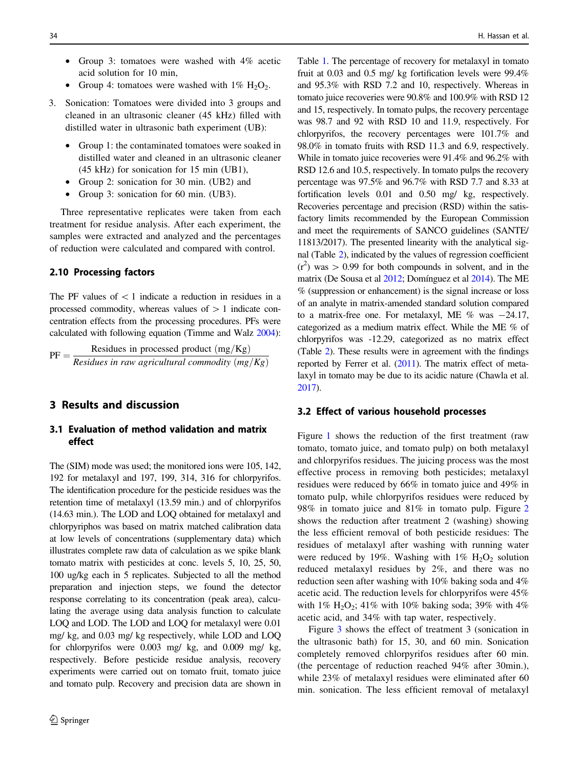- Group 3: tomatoes were washed with 4% acetic acid solution for 10 min,
- Group 4: tomatoes were washed with  $1\%$  H<sub>2</sub>O<sub>2</sub>.
- 3. Sonication: Tomatoes were divided into 3 groups and cleaned in an ultrasonic cleaner (45 kHz) filled with distilled water in ultrasonic bath experiment (UB):
	- Group 1: the contaminated tomatoes were soaked in distilled water and cleaned in an ultrasonic cleaner (45 kHz) for sonication for 15 min (UB1),
	- Group 2: sonication for 30 min. (UB2) and
	- Group 3: sonication for 60 min. (UB3).

Three representative replicates were taken from each treatment for residue analysis. After each experiment, the samples were extracted and analyzed and the percentages of reduction were calculated and compared with control.

## 2.10 Processing factors

The PF values of  $\lt 1$  indicate a reduction in residues in a processed commodity, whereas values of  $> 1$  indicate concentration effects from the processing procedures. PFs were calculated with following equation (Timme and Walz [2004](#page-8-0)):

$$
PF = \frac{Residues \text{ in processed product } (mg/Kg)}{Residues \text{ in raw agricultural commodity } (mg/Kg)}
$$

# 3 Results and discussion

# 3.1 Evaluation of method validation and matrix effect

The (SIM) mode was used; the monitored ions were 105, 142, 192 for metalaxyl and 197, 199, 314, 316 for chlorpyrifos. The identification procedure for the pesticide residues was the retention time of metalaxyl (13.59 min.) and of chlorpyrifos (14.63 min.). The LOD and LOQ obtained for metalaxyl and chlorpyriphos was based on matrix matched calibration data at low levels of concentrations (supplementary data) which illustrates complete raw data of calculation as we spike blank tomato matrix with pesticides at conc. levels 5, 10, 25, 50, 100 ug/kg each in 5 replicates. Subjected to all the method preparation and injection steps, we found the detector response correlating to its concentration (peak area), calculating the average using data analysis function to calculate LOQ and LOD. The LOD and LOQ for metalaxyl were 0.01 mg/ kg, and 0.03 mg/ kg respectively, while LOD and LOQ for chlorpyrifos were 0.003 mg/ kg, and 0.009 mg/ kg, respectively. Before pesticide residue analysis, recovery experiments were carried out on tomato fruit, tomato juice and tomato pulp. Recovery and precision data are shown in

Table [1](#page-4-0). The percentage of recovery for metalaxyl in tomato fruit at 0.03 and 0.5 mg/ kg fortification levels were 99.4% and 95.3% with RSD 7.2 and 10, respectively. Whereas in tomato juice recoveries were 90.8% and 100.9% with RSD 12 and 15, respectively. In tomato pulps, the recovery percentage was 98.7 and 92 with RSD 10 and 11.9, respectively. For chlorpyrifos, the recovery percentages were 101.7% and 98.0% in tomato fruits with RSD 11.3 and 6.9, respectively. While in tomato juice recoveries were 91.4% and 96.2% with RSD 12.6 and 10.5, respectively. In tomato pulps the recovery percentage was 97.5% and 96.7% with RSD 7.7 and 8.33 at fortification levels 0.01 and 0.50 mg/ kg, respectively. Recoveries percentage and precision (RSD) within the satisfactory limits recommended by the European Commission and meet the requirements of SANCO guidelines (SANTE/ 11813/2017). The presented linearity with the analytical signal (Table [2](#page-4-0)), indicated by the values of regression coefficient  $(r^2)$  was  $> 0.99$  for both compounds in solvent, and in the matrix (De Sousa et al [2012;](#page-7-0) Domínguez et al [2014](#page-7-0)). The ME % (suppression or enhancement) is the signal increase or loss of an analyte in matrix-amended standard solution compared to a matrix-free one. For metalaxyl, ME  $%$  was  $-24.17$ , categorized as a medium matrix effect. While the ME % of chlorpyrifos was -12.29, categorized as no matrix effect (Table [2](#page-4-0)). These results were in agreement with the findings reported by Ferrer et al. [\(2011](#page-7-0)). The matrix effect of metalaxyl in tomato may be due to its acidic nature (Chawla et al. [2017](#page-7-0)).

#### 3.2 Effect of various household processes

Figure [1](#page-4-0) shows the reduction of the first treatment (raw tomato, tomato juice, and tomato pulp) on both metalaxyl and chlorpyrifos residues. The juicing process was the most effective process in removing both pesticides; metalaxyl residues were reduced by 66% in tomato juice and 49% in tomato pulp, while chlorpyrifos residues were reduced by 98% in tomato juice and 81% in tomato pulp. Figure [2](#page-5-0) shows the reduction after treatment 2 (washing) showing the less efficient removal of both pesticide residues: The residues of metalaxyl after washing with running water were reduced by 19%. Washing with  $1\%$  H<sub>2</sub>O<sub>2</sub> solution reduced metalaxyl residues by 2%, and there was no reduction seen after washing with 10% baking soda and 4% acetic acid. The reduction levels for chlorpyrifos were 45% with  $1\%$  H<sub>2</sub>O<sub>2</sub>; 41\% with 10\% baking soda; 39\% with 4\% acetic acid, and 34% with tap water, respectively.

Figure [3](#page-5-0) shows the effect of treatment 3 (sonication in the ultrasonic bath) for 15, 30, and 60 min. Sonication completely removed chlorpyrifos residues after 60 min. (the percentage of reduction reached 94% after 30min.), while 23% of metalaxyl residues were eliminated after 60 min. sonication. The less efficient removal of metalaxyl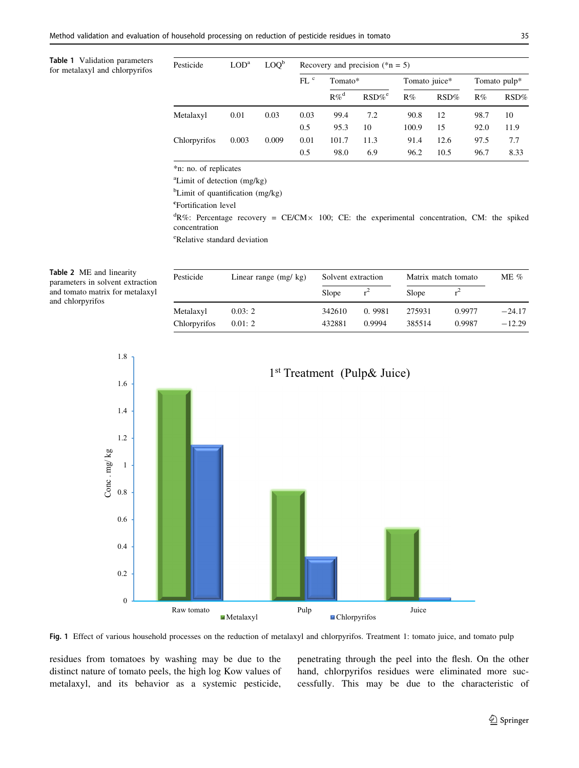<span id="page-4-0"></span>Table 1 Validation parameters for metalaxyl and chlorpyrifos

| Pesticide    | LOD <sup>a</sup> | LOO <sub>p</sub> | Recovery and precision $(*n = 5)$ |         |                      |               |         |              |      |
|--------------|------------------|------------------|-----------------------------------|---------|----------------------|---------------|---------|--------------|------|
|              |                  |                  | FL <sup>c</sup>                   | Tomato* |                      | Tomato juice* |         | Tomato pulp* |      |
|              |                  |                  |                                   | $R\%^d$ | $RSD\%$ <sup>e</sup> | R%            | $RSD\%$ | R%           | RSD% |
| Metalaxyl    | 0.01             | 0.03             | 0.03                              | 99.4    | 7.2                  | 90.8          | 12      | 98.7         | 10   |
|              |                  |                  | 0.5                               | 95.3    | 10                   | 100.9         | 15      | 92.0         | 11.9 |
| Chlorpyrifos | 0.003            | 0.009            | 0.01                              | 101.7   | 11.3                 | 91.4          | 12.6    | 97.5         | 7.7  |
|              |                  |                  | 0.5                               | 98.0    | 6.9                  | 96.2          | 10.5    | 96.7         | 8.33 |

\*n: no. of replicates

a Limit of detection (mg/kg)

<sup>b</sup>Limit of quantification (mg/kg)

<sup>e</sup>Fortification level

 ${}^{d}R\%$ : Percentage recovery = CE/CM $\times$  100; CE: the experimental concentration, CM: the spiked concentration

e Relative standard deviation

| Table 2 ME and linearity         |
|----------------------------------|
| parameters in solvent extraction |
| and tomato matrix for metalaxyl  |
| and chlorpyrifos                 |

| Pesticide    | Linear range $(mg/kg)$ | Solvent extraction |        | Matrix match tomato |        | ME $\%$  |
|--------------|------------------------|--------------------|--------|---------------------|--------|----------|
|              |                        | Slope              |        | Slope               |        |          |
| Metalaxyl    | 0.03:2                 | 342610             | 0.9981 | 275931              | 0.9977 | $-24.17$ |
| Chlorpyrifos | 0.01:2                 | 432881             | 0.9994 | 385514              | 0.9987 | $-12.29$ |



Fig. 1 Effect of various household processes on the reduction of metalaxyl and chlorpyrifos. Treatment 1: tomato juice, and tomato pulp

residues from tomatoes by washing may be due to the distinct nature of tomato peels, the high log Kow values of metalaxyl, and its behavior as a systemic pesticide, penetrating through the peel into the flesh. On the other hand, chlorpyrifos residues were eliminated more successfully. This may be due to the characteristic of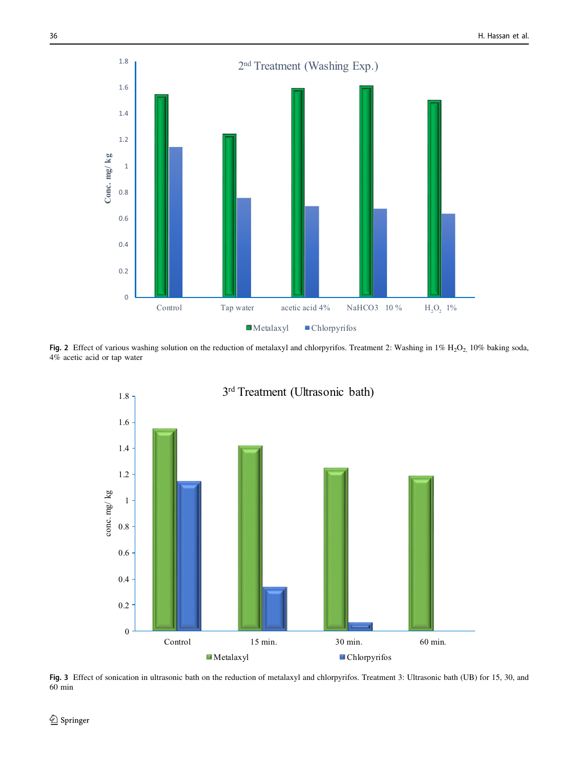<span id="page-5-0"></span>

Fig. 2 Effect of various washing solution on the reduction of metalaxyl and chlorpyrifos. Treatment 2: Washing in  $1\%$  H<sub>2</sub>O<sub>2,</sub> 10% baking soda, 4% acetic acid or tap water



Fig. 3 Effect of sonication in ultrasonic bath on the reduction of metalaxyl and chlorpyrifos. Treatment 3: Ultrasonic bath (UB) for 15, 30, and 60 min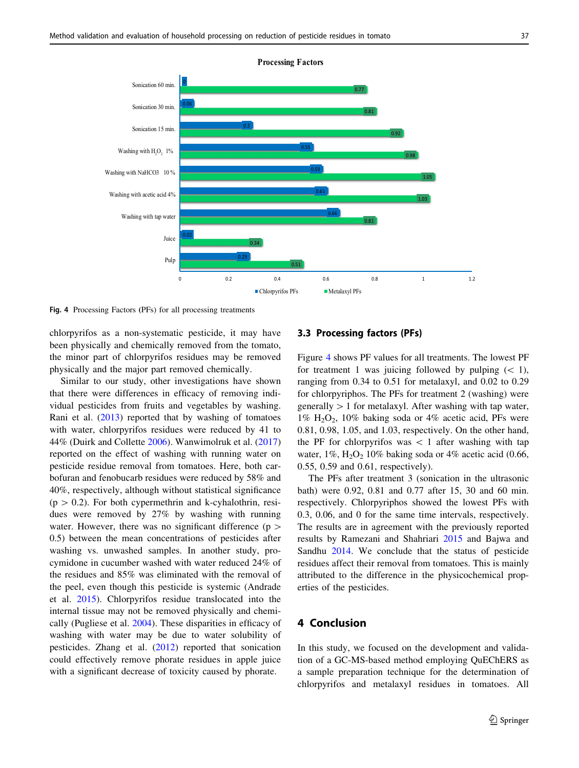

**Processing Factors** 

Fig. 4 Processing Factors (PFs) for all processing treatments

chlorpyrifos as a non-systematic pesticide, it may have been physically and chemically removed from the tomato, the minor part of chlorpyrifos residues may be removed physically and the major part removed chemically.

Similar to our study, other investigations have shown that there were differences in efficacy of removing individual pesticides from fruits and vegetables by washing. Rani et al. [\(2013](#page-7-0)) reported that by washing of tomatoes with water, chlorpyrifos residues were reduced by 41 to 44% (Duirk and Collette [2006](#page-7-0)). Wanwimolruk et al. ([2017\)](#page-8-0) reported on the effect of washing with running water on pesticide residue removal from tomatoes. Here, both carbofuran and fenobucarb residues were reduced by 58% and 40%, respectively, although without statistical significance  $(p > 0.2)$ . For both cypermethrin and k-cyhalothrin, residues were removed by 27% by washing with running water. However, there was no significant difference ( $p >$ 0.5) between the mean concentrations of pesticides after washing vs. unwashed samples. In another study, procymidone in cucumber washed with water reduced 24% of the residues and 85% was eliminated with the removal of the peel, even though this pesticide is systemic (Andrade et al. [2015](#page-7-0)). Chlorpyrifos residue translocated into the internal tissue may not be removed physically and chemically (Pugliese et al. [2004](#page-7-0)). These disparities in efficacy of washing with water may be due to water solubility of pesticides. Zhang et al. [\(2012](#page-8-0)) reported that sonication could effectively remove phorate residues in apple juice with a significant decrease of toxicity caused by phorate.

# 3.3 Processing factors (PFs)

Figure 4 shows PF values for all treatments. The lowest PF for treatment 1 was juicing followed by pulping  $(< 1)$ , ranging from 0.34 to 0.51 for metalaxyl, and 0.02 to 0.29 for chlorpyriphos. The PFs for treatment 2 (washing) were generally  $> 1$  for metalaxyl. After washing with tap water,  $1\%$  H<sub>2</sub>O<sub>2</sub>,  $10\%$  baking soda or  $4\%$  acetic acid, PFs were 0.81, 0.98, 1.05, and 1.03, respectively. On the other hand, the PF for chlorpyrifos was  $\lt 1$  after washing with tap water,  $1\%$ ,  $H_2O_2$  10% baking soda or 4% acetic acid (0.66, 0.55, 0.59 and 0.61, respectively).

The PFs after treatment 3 (sonication in the ultrasonic bath) were 0.92, 0.81 and 0.77 after 15, 30 and 60 min. respectively. Chlorpyriphos showed the lowest PFs with 0.3, 0.06, and 0 for the same time intervals, respectively. The results are in agreement with the previously reported results by Ramezani and Shahriari [2015](#page-7-0) and Bajwa and Sandhu [2014](#page-7-0). We conclude that the status of pesticide residues affect their removal from tomatoes. This is mainly attributed to the difference in the physicochemical properties of the pesticides.

# 4 Conclusion

In this study, we focused on the development and validation of a GC-MS-based method employing QuEChERS as a sample preparation technique for the determination of chlorpyrifos and metalaxyl residues in tomatoes. All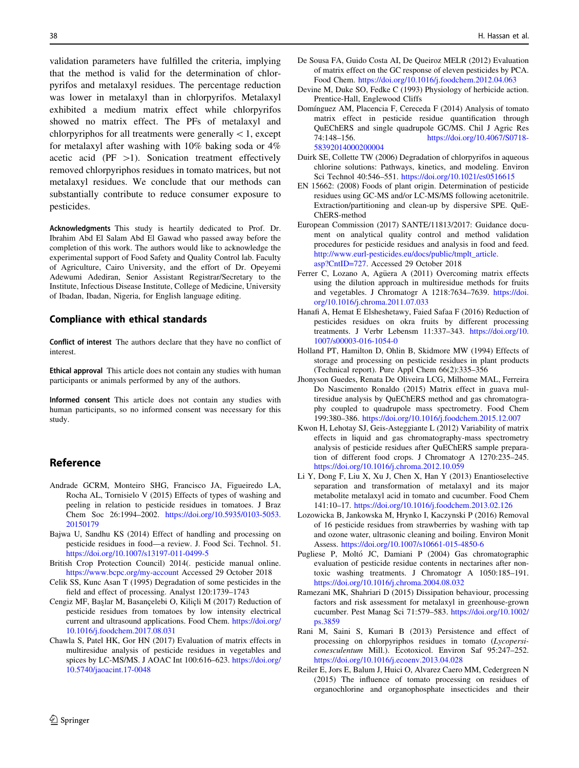<span id="page-7-0"></span>validation parameters have fulfilled the criteria, implying that the method is valid for the determination of chlorpyrifos and metalaxyl residues. The percentage reduction was lower in metalaxyl than in chlorpyrifos. Metalaxyl exhibited a medium matrix effect while chlorpyrifos showed no matrix effect. The PFs of metalaxyl and chlorpyriphos for all treatments were generally  $\lt 1$ , except for metalaxyl after washing with 10% baking soda or 4% acetic acid (PF  $>1$ ). Sonication treatment effectively removed chlorpyriphos residues in tomato matrices, but not metalaxyl residues. We conclude that our methods can substantially contribute to reduce consumer exposure to pesticides.

Acknowledgments This study is heartily dedicated to Prof. Dr. Ibrahim Abd El Salam Abd El Gawad who passed away before the completion of this work. The authors would like to acknowledge the experimental support of Food Safety and Quality Control lab. Faculty of Agriculture, Cairo University, and the effort of Dr. Opeyemi Adewumi Adediran, Senior Assistant Registrar/Secretary to the Institute, Infectious Disease Institute, College of Medicine, University of Ibadan, Ibadan, Nigeria, for English language editing.

## Compliance with ethical standards

Conflict of interest The authors declare that they have no conflict of interest.

Ethical approval This article does not contain any studies with human participants or animals performed by any of the authors.

Informed consent This article does not contain any studies with human participants, so no informed consent was necessary for this study.

## Reference

- Andrade GCRM, Monteiro SHG, Francisco JA, Figueiredo LA, Rocha AL, Tornisielo V (2015) Effects of types of washing and peeling in relation to pesticide residues in tomatoes. J Braz Chem Soc 26:1994–2002. [https://doi.org/10.5935/0103-5053.](https://doi.org/10.5935/0103-5053.20150179) [20150179](https://doi.org/10.5935/0103-5053.20150179)
- Bajwa U, Sandhu KS (2014) Effect of handling and processing on pesticide residues in food—a review. J. Food Sci. Technol. 51. <https://doi.org/10.1007/s13197-011-0499-5>
- British Crop Protection Council) 2014(. pesticide manual online. <https://www.bcpc.org/my-account> Accessed 29 October 2018
- Celik SS, Kunc Asan T (1995) Degradation of some pesticides in the field and effect of processing. Analyst 120:1739–1743
- Cengiz MF, Baslar M, Basancelebi O, Kilicli M (2017) Reduction of pesticide residues from tomatoes by low intensity electrical current and ultrasound applications. Food Chem. [https://doi.org/](https://doi.org/10.1016/j.foodchem.2017.08.031) [10.1016/j.foodchem.2017.08.031](https://doi.org/10.1016/j.foodchem.2017.08.031)
- Chawla S, Patel HK, Gor HN (2017) Evaluation of matrix effects in multiresidue analysis of pesticide residues in vegetables and spices by LC-MS/MS. J AOAC Int 100:616–623. [https://doi.org/](https://doi.org/10.5740/jaoacint.17-0048) [10.5740/jaoacint.17-0048](https://doi.org/10.5740/jaoacint.17-0048)
- De Sousa FA, Guido Costa AI, De Queiroz MELR (2012) Evaluation of matrix effect on the GC response of eleven pesticides by PCA. Food Chem. <https://doi.org/10.1016/j.foodchem.2012.04.063>
- Devine M, Duke SO, Fedke C (1993) Physiology of herbicide action. Prentice-Hall, Englewood Cliffs
- Domínguez AM, Placencia F, Cereceda F (2014) Analysis of tomato matrix effect in pesticide residue quantification through QuEChERS and single quadrupole GC/MS. Chil J Agric Res 74:148–156. [https://doi.org/10.4067/S0718-](https://doi.org/10.4067/S0718-58392014000200004) [58392014000200004](https://doi.org/10.4067/S0718-58392014000200004)
- Duirk SE, Collette TW (2006) Degradation of chlorpyrifos in aqueous chlorine solutions: Pathways, kinetics, and modeling. Environ Sci Technol 40:546–551. <https://doi.org/10.1021/es0516615>
- EN 15662: (2008) Foods of plant origin. Determination of pesticide residues using GC-MS and/or LC-MS/MS following acetonitrile. Extraction/partitioning and clean-up by dispersive SPE. QuE-ChERS-method
- European Commission (2017) SANTE/11813/2017: Guidance document on analytical quality control and method validation procedures for pesticide residues and analysis in food and feed. [http://www.eurl-pesticides.eu/docs/public/tmplt\\_article.](http://www.eurl-pesticides.eu/docs/public/tmplt_article.asp%3fCntID%3d727) [asp?CntID=727.](http://www.eurl-pesticides.eu/docs/public/tmplt_article.asp%3fCntID%3d727) Accessed 29 October 2018
- Ferrer C, Lozano A, Agüera A (2011) Overcoming matrix effects using the dilution approach in multiresidue methods for fruits and vegetables. J Chromatogr A 1218:7634–7639. [https://doi.](https://doi.org/10.1016/j.chroma.2011.07.033) [org/10.1016/j.chroma.2011.07.033](https://doi.org/10.1016/j.chroma.2011.07.033)
- Hanafi A, Hemat E Elsheshetawy, Faied Safaa F (2016) Reduction of pesticides residues on okra fruits by different processing treatments. J Verbr Lebensm 11:337–343. [https://doi.org/10.](https://doi.org/10.1007/s00003-016-1054-0) [1007/s00003-016-1054-0](https://doi.org/10.1007/s00003-016-1054-0)
- Holland PT, Hamilton D, Ohlin B, Skidmore MW (1994) Effects of storage and processing on pesticide residues in plant products (Technical report). Pure Appl Chem 66(2):335–356
- Jhonyson Guedes, Renata De Oliveira LCG, Milhome MAL, Ferreira Do Nascimento Ronaldo (2015) Matrix effect in guava multiresidue analysis by QuEChERS method and gas chromatography coupled to quadrupole mass spectrometry. Food Chem 199:380–386. <https://doi.org/10.1016/j.foodchem.2015.12.007>
- Kwon H, Lehotay SJ, Geis-Asteggiante L (2012) Variability of matrix effects in liquid and gas chromatography-mass spectrometry analysis of pesticide residues after QuEChERS sample preparation of different food crops. J Chromatogr A 1270:235–245. <https://doi.org/10.1016/j.chroma.2012.10.059>
- Li Y, Dong F, Liu X, Xu J, Chen X, Han Y (2013) Enantioselective separation and transformation of metalaxyl and its major metabolite metalaxyl acid in tomato and cucumber. Food Chem 141:10–17. <https://doi.org/10.1016/j.foodchem.2013.02.126>
- Lozowicka B, Jankowska M, Hrynko I, Kaczynski P (2016) Removal of 16 pesticide residues from strawberries by washing with tap and ozone water, ultrasonic cleaning and boiling. Environ Monit Assess. <https://doi.org/10.1007/s10661-015-4850-6>
- Pugliese P, Moltó JC, Damiani P (2004) Gas chromatographic evaluation of pesticide residue contents in nectarines after nontoxic washing treatments. J Chromatogr A 1050:185–191. <https://doi.org/10.1016/j.chroma.2004.08.032>
- Ramezani MK, Shahriari D (2015) Dissipation behaviour, processing factors and risk assessment for metalaxyl in greenhouse-grown cucumber. Pest Manag Sci 71:579–583. [https://doi.org/10.1002/](https://doi.org/10.1002/ps.3859) [ps.3859](https://doi.org/10.1002/ps.3859)
- Rani M, Saini S, Kumari B (2013) Persistence and effect of processing on chlorpyriphos residues in tomato (Lycopersiconesculentum Mill.). Ecotoxicol. Environ Saf 95:247–252. <https://doi.org/10.1016/j.ecoenv.2013.04.028>
- Reiler E, Jors E, Balum J, Huici O, Alvarez Caero MM, Cedergreen N (2015) The influence of tomato processing on residues of organochlorine and organophosphate insecticides and their